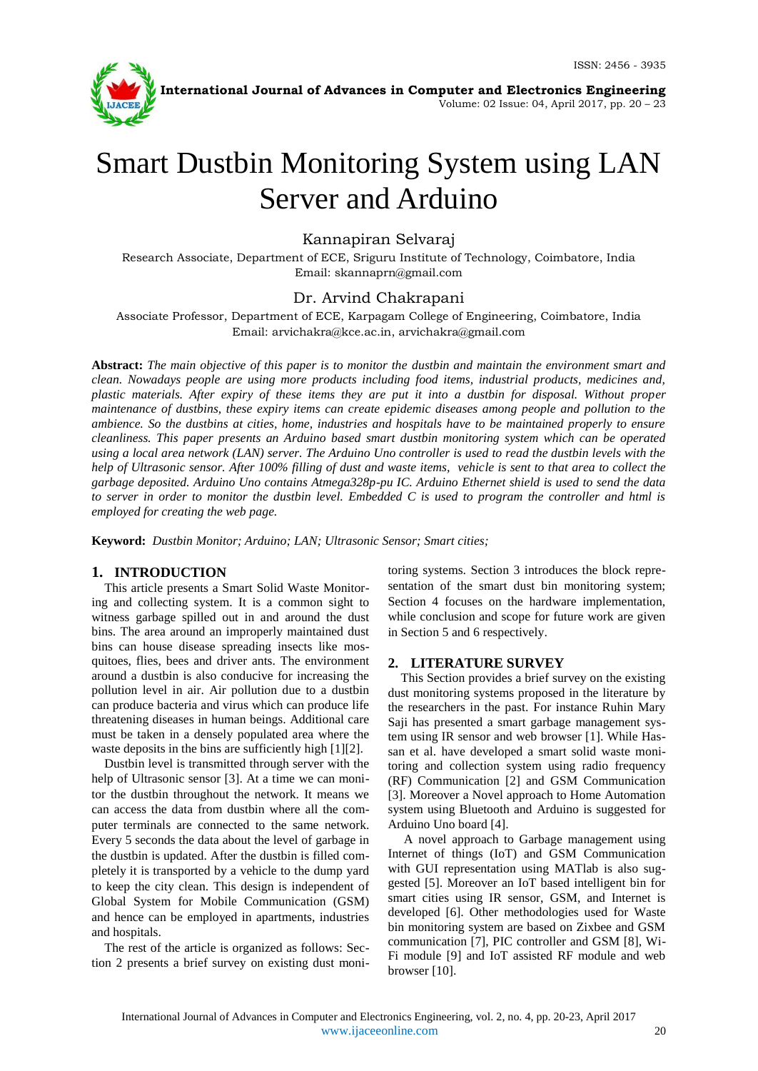

**International Journal of Advances in Computer and Electronics Engineering**

Volume: 02 Issue: 04, April 2017, pp. 20 – 23

# Smart Dustbin Monitoring System using LAN Server and Arduino

# Kannapiran Selvaraj

Research Associate, Department of ECE, Sriguru Institute of Technology, Coimbatore, India Email: skannaprn@gmail.com

# Dr. Arvind Chakrapani

Associate Professor, Department of ECE, Karpagam College of Engineering, Coimbatore, India Email: arvichakra@kce.ac.in, arvichakra@gmail.com

**Abstract:** *The main objective of this paper is to monitor the dustbin and maintain the environment smart and clean. Nowadays people are using more products including food items, industrial products, medicines and, plastic materials. After expiry of these items they are put it into a dustbin for disposal. Without proper maintenance of dustbins, these expiry items can create epidemic diseases among people and pollution to the ambience. So the dustbins at cities, home, industries and hospitals have to be maintained properly to ensure cleanliness. This paper presents an Arduino based smart dustbin monitoring system which can be operated using a local area network (LAN) server. The Arduino Uno controller is used to read the dustbin levels with the help of Ultrasonic sensor. After 100% filling of dust and waste items, vehicle is sent to that area to collect the garbage deposited. Arduino Uno contains Atmega328p-pu IC. Arduino Ethernet shield is used to send the data to server in order to monitor the dustbin level. Embedded C is used to program the controller and html is employed for creating the web page.*

**Keyword:** *Dustbin Monitor; Arduino; LAN; Ultrasonic Sensor; Smart cities;*

## **1. INTRODUCTION**

This article presents a Smart Solid Waste Monitoring and collecting system. It is a common sight to witness garbage spilled out in and around the dust bins. The area around an improperly maintained dust bins can house disease spreading insects like mosquitoes, flies, bees and driver ants. The environment around a dustbin is also conducive for increasing the pollution level in air. Air pollution due to a dustbin can produce bacteria and virus which can produce life threatening diseases in human beings. Additional care must be taken in a densely populated area where the waste deposits in the bins are sufficiently high [1][2].

Dustbin level is transmitted through server with the help of Ultrasonic sensor [3]. At a time we can monitor the dustbin throughout the network. It means we can access the data from dustbin where all the computer terminals are connected to the same network. Every 5 seconds the data about the level of garbage in the dustbin is updated. After the dustbin is filled completely it is transported by a vehicle to the dump yard to keep the city clean. This design is independent of Global System for Mobile Communication (GSM) and hence can be employed in apartments, industries and hospitals.

The rest of the article is organized as follows: Section 2 presents a brief survey on existing dust monitoring systems. Section 3 introduces the block representation of the smart dust bin monitoring system; Section 4 focuses on the hardware implementation, while conclusion and scope for future work are given in Section 5 and 6 respectively.

## **2. LITERATURE SURVEY**

This Section provides a brief survey on the existing dust monitoring systems proposed in the literature by the researchers in the past. For instance Ruhin Mary Saji has presented a smart garbage management system using IR sensor and web browser [1]. While Hassan et al. have developed a smart solid waste monitoring and collection system using radio frequency (RF) Communication [2] and GSM Communication [3]. Moreover a Novel approach to Home Automation system using Bluetooth and Arduino is suggested for Arduino Uno board [4].

A novel approach to Garbage management using Internet of things (IoT) and GSM Communication with GUI representation using MATlab is also suggested [5]. Moreover an IoT based intelligent bin for smart cities using IR sensor, GSM, and Internet is developed [6]. Other methodologies used for Waste bin monitoring system are based on Zixbee and GSM communication [7], PIC controller and GSM [8], Wi-Fi module [9] and IoT assisted RF module and web browser [10].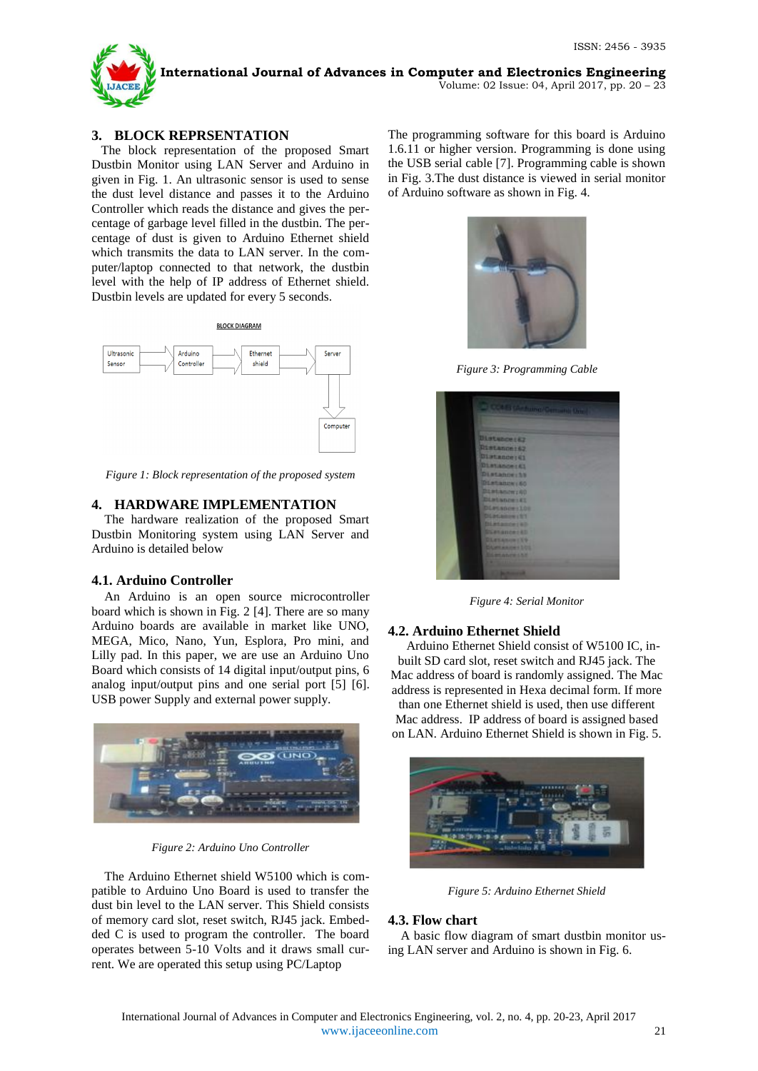

Volume: 02 Issue: 04, April 2017, pp. 20 – 23

## **3. BLOCK REPRSENTATION**

 The block representation of the proposed Smart Dustbin Monitor using LAN Server and Arduino in given in Fig. 1. An ultrasonic sensor is used to sense the dust level distance and passes it to the Arduino Controller which reads the distance and gives the percentage of garbage level filled in the dustbin. The percentage of dust is given to Arduino Ethernet shield which transmits the data to LAN server. In the computer/laptop connected to that network, the dustbin level with the help of IP address of Ethernet shield. Dustbin levels are updated for every 5 seconds.



*Figure 1: Block representation of the proposed system*

# **4. HARDWARE IMPLEMENTATION**

The hardware realization of the proposed Smart Dustbin Monitoring system using LAN Server and Arduino is detailed below

#### **4.1. Arduino Controller**

An Arduino is an open source microcontroller board which is shown in Fig. 2 [4]. There are so many Arduino boards are available in market like UNO, MEGA, Mico, Nano, Yun, Esplora, Pro mini, and Lilly pad. In this paper, we are use an Arduino Uno Board which consists of 14 digital input/output pins, 6 analog input/output pins and one serial port [5] [6]. USB power Supply and external power supply.



*Figure 2: Arduino Uno Controller*

The Arduino Ethernet shield W5100 which is compatible to Arduino Uno Board is used to transfer the dust bin level to the LAN server. This Shield consists of memory card slot, reset switch, RJ45 jack. Embedded C is used to program the controller. The board operates between 5-10 Volts and it draws small current. We are operated this setup using PC/Laptop

The programming software for this board is Arduino 1.6.11 or higher version. Programming is done using the USB serial cable [7]. Programming cable is shown in Fig. 3.The dust distance is viewed in serial monitor of Arduino software as shown in Fig. 4.



*Figure 3: Programming Cable*



*Figure 4: Serial Monitor*

#### **4.2. Arduino Ethernet Shield**

Arduino Ethernet Shield consist of W5100 IC, inbuilt SD card slot, reset switch and RJ45 jack. The Mac address of board is randomly assigned. The Mac address is represented in Hexa decimal form. If more

than one Ethernet shield is used, then use different Mac address. IP address of board is assigned based on LAN. Arduino Ethernet Shield is shown in Fig. 5.



*Figure 5: Arduino Ethernet Shield*

#### **4.3. Flow chart**

A basic flow diagram of smart dustbin monitor using LAN server and Arduino is shown in Fig. 6.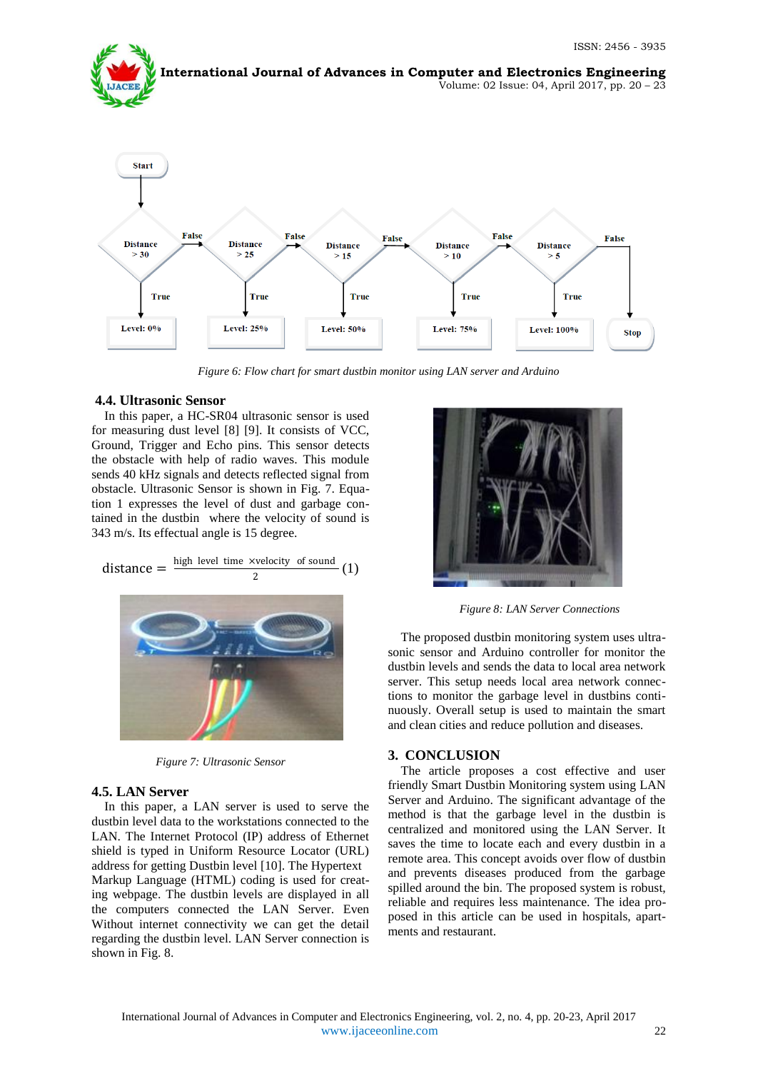

*Figure 6: Flow chart for smart dustbin monitor using LAN server and Arduino*

#### **4.4. Ultrasonic Sensor**

In this paper, a HC-SR04 ultrasonic sensor is used for measuring dust level [8] [9]. It consists of VCC, Ground, Trigger and Echo pins. This sensor detects the obstacle with help of radio waves. This module sends 40 kHz signals and detects reflected signal from obstacle. Ultrasonic Sensor is shown in Fig. 7. Equation 1 expresses the level of dust and garbage contained in the dustbin where the velocity of sound is 343 m/s. Its effectual angle is 15 degree.

distance = 
$$
\frac{\text{high level time xvelocity of sound}}{2}
$$
 (1)



*Figure 7: Ultrasonic Sensor*

#### **4.5. LAN Server**

In this paper, a LAN server is used to serve the dustbin level data to the workstations connected to the LAN. The Internet Protocol (IP) address of Ethernet shield is typed in Uniform Resource Locator (URL) address for getting Dustbin level [10]. The Hypertext Markup Language (HTML) coding is used for creating webpage. The dustbin levels are displayed in all the computers connected the LAN Server. Even Without internet connectivity we can get the detail regarding the dustbin level. LAN Server connection is shown in Fig. 8.



*Figure 8: LAN Server Connections*

The proposed dustbin monitoring system uses ultrasonic sensor and Arduino controller for monitor the dustbin levels and sends the data to local area network server. This setup needs local area network connections to monitor the garbage level in dustbins continuously. Overall setup is used to maintain the smart and clean cities and reduce pollution and diseases.

#### **3. CONCLUSION**

The article proposes a cost effective and user friendly Smart Dustbin Monitoring system using LAN Server and Arduino. The significant advantage of the method is that the garbage level in the dustbin is centralized and monitored using the LAN Server. It saves the time to locate each and every dustbin in a remote area. This concept avoids over flow of dustbin and prevents diseases produced from the garbage spilled around the bin. The proposed system is robust, reliable and requires less maintenance. The idea proposed in this article can be used in hospitals, apartments and restaurant.